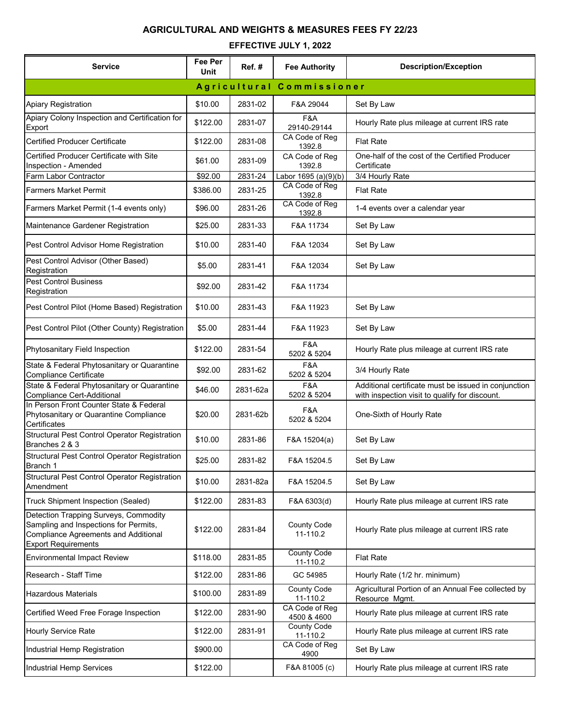## **AGRICULTURAL AND WEIGHTS & MEASURES FEES FY 22/23**

## **EFFECTIVE JULY 1, 2022**

| <b>Service</b>                                                                                                                                       | Fee Per<br>Unit | Ref.#    | <b>Fee Authority</b>           | <b>Description/Exception</b>                                                                           |  |
|------------------------------------------------------------------------------------------------------------------------------------------------------|-----------------|----------|--------------------------------|--------------------------------------------------------------------------------------------------------|--|
|                                                                                                                                                      |                 |          | Agricultural Commissioner      |                                                                                                        |  |
| Apiary Registration                                                                                                                                  | \$10.00         | 2831-02  | F&A 29044                      | Set By Law                                                                                             |  |
| Apiary Colony Inspection and Certification for<br>Export                                                                                             | \$122.00        | 2831-07  | F&A<br>29140-29144             | Hourly Rate plus mileage at current IRS rate                                                           |  |
| <b>Certified Producer Certificate</b>                                                                                                                | \$122.00        | 2831-08  | CA Code of Reg<br>1392.8       | <b>Flat Rate</b>                                                                                       |  |
| Certified Producer Certificate with Site<br>Inspection - Amended                                                                                     | \$61.00         | 2831-09  | CA Code of Reg<br>1392.8       | One-half of the cost of the Certified Producer<br>Certificate                                          |  |
| Farm Labor Contractor                                                                                                                                | \$92.00         | 2831-24  | Labor 1695 (a)(9)(b)           | 3/4 Hourly Rate                                                                                        |  |
| <b>Farmers Market Permit</b>                                                                                                                         | \$386.00        | 2831-25  | CA Code of Reg<br>1392.8       | <b>Flat Rate</b>                                                                                       |  |
| Farmers Market Permit (1-4 events only)                                                                                                              | \$96.00         | 2831-26  | CA Code of Reg<br>1392.8       | 1-4 events over a calendar year                                                                        |  |
| Maintenance Gardener Registration                                                                                                                    | \$25.00         | 2831-33  | F&A 11734                      | Set By Law                                                                                             |  |
| Pest Control Advisor Home Registration                                                                                                               | \$10.00         | 2831-40  | F&A 12034                      | Set By Law                                                                                             |  |
| Pest Control Advisor (Other Based)<br>Registration                                                                                                   | \$5.00          | 2831-41  | F&A 12034                      | Set By Law                                                                                             |  |
| <b>Pest Control Business</b><br>Registration                                                                                                         | \$92.00         | 2831-42  | F&A 11734                      |                                                                                                        |  |
| Pest Control Pilot (Home Based) Registration                                                                                                         | \$10.00         | 2831-43  | F&A 11923                      | Set By Law                                                                                             |  |
| Pest Control Pilot (Other County) Registration                                                                                                       | \$5.00          | 2831-44  | F&A 11923                      | Set By Law                                                                                             |  |
| Phytosanitary Field Inspection                                                                                                                       | \$122.00        | 2831-54  | F&A<br>5202 & 5204             | Hourly Rate plus mileage at current IRS rate                                                           |  |
| State & Federal Phytosanitary or Quarantine<br><b>Compliance Certificate</b>                                                                         | \$92.00         | 2831-62  | F&A<br>5202 & 5204             | 3/4 Hourly Rate                                                                                        |  |
| State & Federal Phytosanitary or Quarantine<br>Compliance Cert-Additional                                                                            | \$46.00         | 2831-62a | F&A<br>5202 & 5204             | Additional certificate must be issued in conjunction<br>with inspection visit to qualify for discount. |  |
| In Person Front Counter State & Federal<br>Phytosanitary or Quarantine Compliance<br>Certificates                                                    | \$20.00         | 2831-62b | F&A<br>5202 & 5204             | One-Sixth of Hourly Rate                                                                               |  |
| Structural Pest Control Operator Registration<br>Branches 2 & 3                                                                                      | \$10.00         | 2831-86  | F&A 15204(a)                   | Set By Law                                                                                             |  |
| Structural Pest Control Operator Registration<br>Branch 1                                                                                            | \$25.00         | 2831-82  | F&A 15204.5                    | Set By Law                                                                                             |  |
| Structural Pest Control Operator Registration<br>Amendment                                                                                           | \$10.00         | 2831-82a | F&A 15204.5                    | Set By Law                                                                                             |  |
| Truck Shipment Inspection (Sealed)                                                                                                                   | \$122.00        | 2831-83  | F&A 6303(d)                    | Hourly Rate plus mileage at current IRS rate                                                           |  |
| Detection Trapping Surveys, Commodity<br>Sampling and Inspections for Permits,<br>Compliance Agreements and Additional<br><b>Export Requirements</b> | \$122.00        | 2831-84  | <b>County Code</b><br>11-110.2 | Hourly Rate plus mileage at current IRS rate                                                           |  |
| <b>Environmental Impact Review</b>                                                                                                                   | \$118.00        | 2831-85  | <b>County Code</b><br>11-110.2 | <b>Flat Rate</b>                                                                                       |  |
| Research - Staff Time                                                                                                                                | \$122.00        | 2831-86  | GC 54985                       | Hourly Rate (1/2 hr. minimum)                                                                          |  |
| <b>Hazardous Materials</b>                                                                                                                           | \$100.00        | 2831-89  | <b>County Code</b><br>11-110.2 | Agricultural Portion of an Annual Fee collected by<br>Resource Mgmt.                                   |  |
| Certified Weed Free Forage Inspection                                                                                                                | \$122.00        | 2831-90  | CA Code of Reg<br>4500 & 4600  | Hourly Rate plus mileage at current IRS rate                                                           |  |
| Hourly Service Rate                                                                                                                                  | \$122.00        | 2831-91  | <b>County Code</b><br>11-110.2 | Hourly Rate plus mileage at current IRS rate                                                           |  |
| Industrial Hemp Registration                                                                                                                         | \$900.00        |          | CA Code of Reg<br>4900         | Set By Law                                                                                             |  |
| Industrial Hemp Services                                                                                                                             | \$122.00        |          | F&A 81005 (c)                  | Hourly Rate plus mileage at current IRS rate                                                           |  |